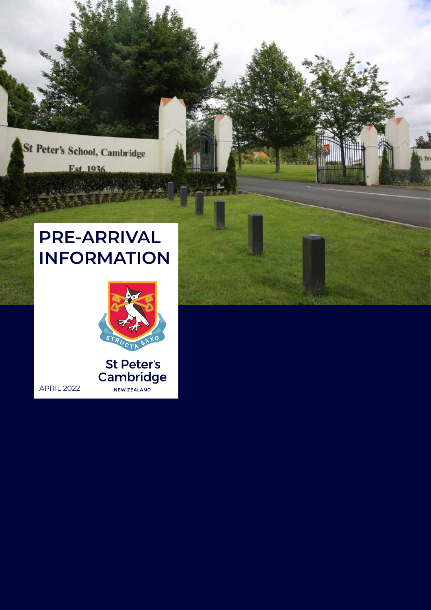

# **PRE-ARRIVAL INFORMATION**

APRIL 2022



St Peter's Cambridge NEW ZEALAND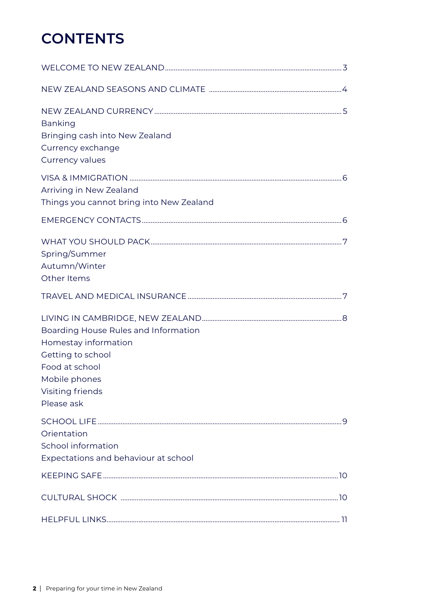### **CONTENTS**

| <b>Banking</b><br>Bringing cash into New Zealand<br>Currency exchange<br>Currency values                                                               |  |
|--------------------------------------------------------------------------------------------------------------------------------------------------------|--|
| Arriving in New Zealand<br>Things you cannot bring into New Zealand                                                                                    |  |
|                                                                                                                                                        |  |
| Spring/Summer<br>Autumn/Winter<br>Other Items                                                                                                          |  |
|                                                                                                                                                        |  |
| Boarding House Rules and Information<br>Homestay information<br>Getting to school<br>Food at school<br>Mobile phones<br>Visiting friends<br>Please ask |  |
| Orientation<br>School information<br>Expectations and behaviour at school                                                                              |  |
|                                                                                                                                                        |  |
|                                                                                                                                                        |  |
|                                                                                                                                                        |  |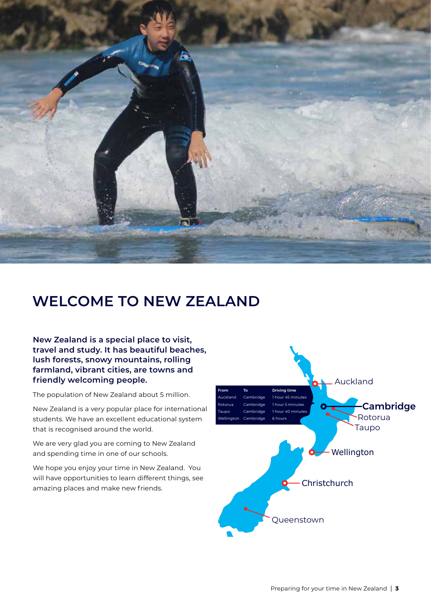<span id="page-2-0"></span>

### **WELCOME TO NEW ZEALAND**

**New Zealand is a special place to visit, travel and study. It has beautiful beaches, lush forests, snowy mountains, rolling farmland, vibrant cities, are towns and friendly welcoming people.** 

The population of New Zealand about 5 million.

New Zealand is a very popular place for international students. We have an excellent educational system that is recognised around the world.

We are very glad you are coming to New Zealand and spending time in one of our schools.

We hope you enjoy your time in New Zealand. You will have opportunities to learn different things, see amazing places and make new friends.

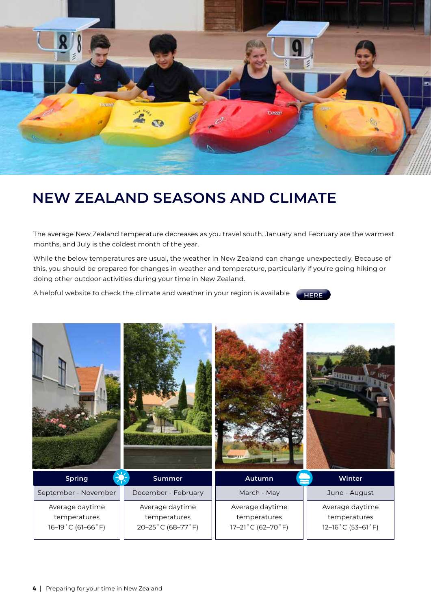<span id="page-3-0"></span>

### **NEW ZEALAND SEASONS AND CLIMATE**

The average New Zealand temperature decreases as you travel south. January and February are the warmest months, and July is the coldest month of the year.

While the below temperatures are usual, the weather in New Zealand can change unexpectedly. Because of this, you should be prepared for changes in weather and temperature, particularly if you're going hiking or doing other outdoor activities during your time in New Zealand.

A helpful website to check the climate and weather in your region is available



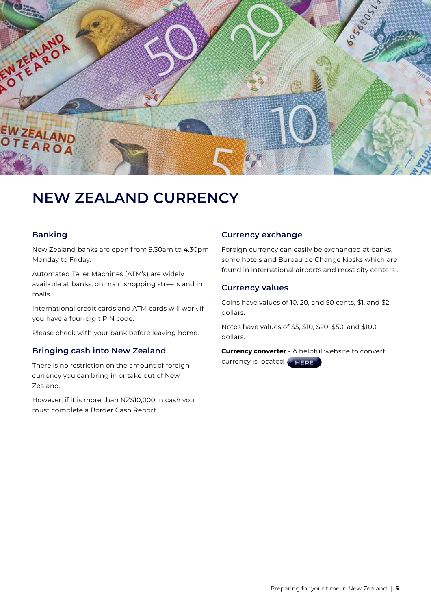<span id="page-4-0"></span>

### **NEW ZEALAND CURRENCY**

#### **Banking**

New Zealand banks are open from 9.30am to 4.30pm Monday to Friday.

Automated Teller Machines (ATM's) are widely available at banks, on main shopping streets and in malls.

International credit cards and ATM cards will work if you have a four-digit PIN code.

Please check with your bank before leaving home.

#### **Bringing cash into New Zealand**

There is no restriction on the amount of foreign currency you can bring in or take out of New Zealand.

However, if it is more than NZ\$10,000 in cash you must complete a Border Cash Report.

#### **Currency exchange**

Foreign currency can easily be exchanged at banks, some hotels and Bureau de Change kiosks which are found in international airports and most city centers .

#### **Currency values**

Coins have values of 10, 20, and 50 cents, \$1, and \$2 dollars.

Notes have values of \$5, \$10, \$20, \$50, and \$100 dollars.

**Currency converter** - A helpful website to convert currency is located **[HERE](http://www.xe.com/currencyconverter)**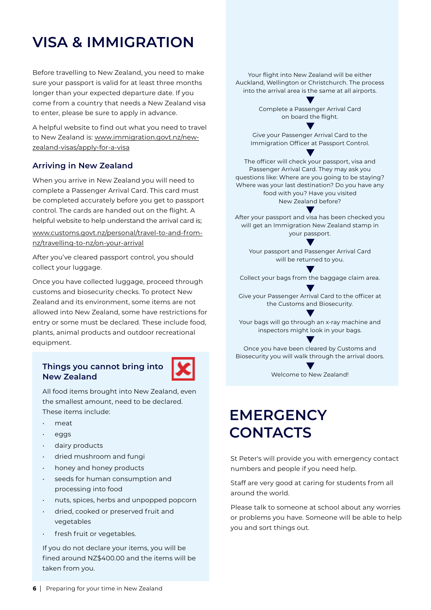## <span id="page-5-0"></span>**VISA & IMMIGRATION**

Before travelling to New Zealand, you need to make sure your passport is valid for at least three months longer than your expected departure date. If you come from a country that needs a New Zealand visa to enter, please be sure to apply in advance.

A helpful website to find out what you need to travel to New Zealand is: [www.immigration.govt.nz/new](http://www.immigration.govt.nz/new-zealand-visas/apply-for-a-visa)[zealand-visas/apply-for-a-visa](http://www.immigration.govt.nz/new-zealand-visas/apply-for-a-visa)

#### **Arriving in New Zealand**

When you arrive in New Zealand you will need to complete a Passenger Arrival Card. This card must be completed accurately before you get to passport control. The cards are handed out on the flight. A helpful website to help understand the arrival card is; [www.customs.govt.nz/personal/travel-to-and-from](http://www.customs.govt.nz/personal/travel-to-and-from-nz/travelling-to-nz/on-your-arrival)[nz/travelling-to-nz/on-your-arrival](http://www.customs.govt.nz/personal/travel-to-and-from-nz/travelling-to-nz/on-your-arrival)

After you've cleared passport control, you should collect your luggage.

Once you have collected luggage, proceed through customs and biosecurity checks. To protect New Zealand and its environment, some items are not allowed into New Zealand, some have restrictions for entry or some must be declared. These include food, plants, animal products and outdoor recreational equipment.

#### **Things you cannot bring into New Zealand**



All food items brought into New Zealand, even the smallest amount, need to be declared. These items include:

- meat
- eggs
- dairy products
- dried mushroom and fungi
- honey and honey products
- seeds for human consumption and processing into food
- nuts, spices, herbs and unpopped popcorn
- dried, cooked or preserved fruit and vegetables
- fresh fruit or vegetables.

If you do not declare your items, you will be fined around NZ\$400.00 and the items will be taken from you.

Your flight into New Zealand will be either Auckland, Wellington or Christchurch. The process into the arrival area is the same at all airports.

> Complete a Passenger Arrival Card on board the flight.

Give your Passenger Arrival Card to the Immigration Officer at Passport Control.

The officer will check your passport, visa and Passenger Arrival Card. They may ask you questions like: Where are you going to be staying? Where was your last destination? Do you have any food with you? Have you visited New Zealand before?

After your passport and visa has been checked you will get an Immigration New Zealand stamp in your passport.

Your passport and Passenger Arrival Card will be returned to you.

Collect your bags from the baggage claim area.

Give your Passenger Arrival Card to the officer at the Customs and Biosecurity.

Your bags will go through an x-ray machine and inspectors might look in your bags.

Once you have been cleared by Customs and Biosecurity you will walk through the arrival doors.

Welcome to New Zealand!

## **EMERGENCY CONTACTS**

St Peter's will provide you with emergency contact numbers and people if you need help.

Staff are very good at caring for students from all around the world.

Please talk to someone at school about any worries or problems you have. Someone will be able to help you and sort things out.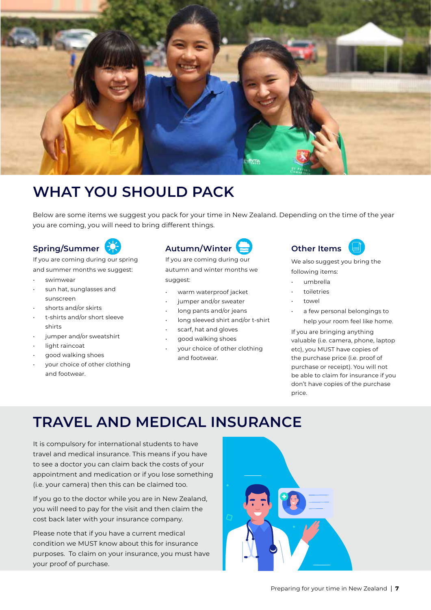<span id="page-6-0"></span>

### **WHAT YOU SHOULD PACK**

Below are some items we suggest you pack for your time in New Zealand. Depending on the time of the year you are coming, you will need to bring different things.

### **Spring/Summer**

If you are coming during our spring and summer months we suggest:

- swimwear
- sun hat, sunglasses and sunscreen
- shorts and/or skirts
- t-shirts and/or short sleeve shirts
- jumper and/or sweatshirt
- light raincoat
- good walking shoes
- your choice of other clothing and footwear.

### **Autumn/Winter**

If you are coming during our autumn and winter months we suggest:

- warm waterproof jacket
- jumper and/or sweater
- long pants and/or jeans
- long sleeved shirt and/or t-shirt
- scarf, hat and gloves
- good walking shoes
- your choice of other clothing and footwear.



We also suggest you bring the following items:

- umbrella
- toiletries
- towel
- a few personal belongings to help your room feel like home.

If you are bringing anything valuable (i.e. camera, phone, laptop etc), you MUST have copies of the purchase price (i.e. proof of purchase or receipt). You will not be able to claim for insurance if you don't have copies of the purchase price.

### **TRAVEL AND MEDICAL INSURANCE**

It is compulsory for international students to have travel and medical insurance. This means if you have to see a doctor you can claim back the costs of your appointment and medication or if you lose something (i.e. your camera) then this can be claimed too.

If you go to the doctor while you are in New Zealand, you will need to pay for the visit and then claim the cost back later with your insurance company.

Please note that if you have a current medical condition we MUST know about this for insurance purposes. To claim on your insurance, you must have your proof of purchase.

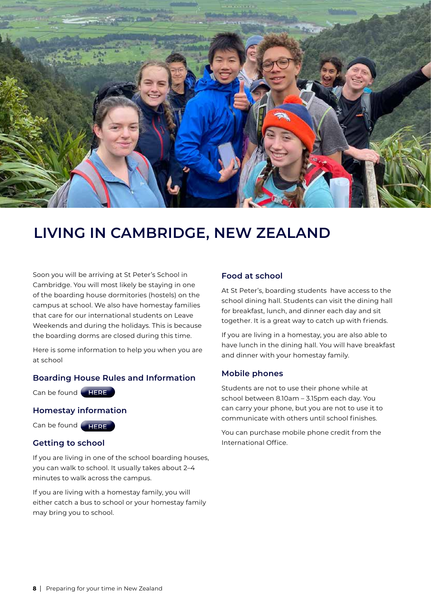<span id="page-7-0"></span>

### **LIVING IN CAMBRIDGE, NEW ZEALAND**

Soon you will be arriving at St Peter's School in Cambridge. You will most likely be staying in one of the boarding house dormitories (hostels) on the campus at school. We also have homestay families that care for our international students on Leave Weekends and during the holidays. This is because the boarding dorms are closed during this time.

Here is some information to help you when you are at school

#### **Boarding House Rules and Information**

Can be found **[HERE](https://internationalstudents.stpeters.school.nz/accommodation/)**

#### **Homestay information**

Can be found **[HERE](https://internationalstudents.stpeters.school.nz/wp-content/uploads/2021/08/Homestay-book-2021.pdf)**

#### **Getting to school**

If you are living in one of the school boarding houses, you can walk to school. It usually takes about 2–4 minutes to walk across the campus.

If you are living with a homestay family, you will either catch a bus to school or your homestay family may bring you to school.

#### **Food at school**

At St Peter's, boarding students have access to the school dining hall. Students can visit the dining hall for breakfast, lunch, and dinner each day and sit together. It is a great way to catch up with friends.

If you are living in a homestay, you are also able to have lunch in the dining hall. You will have breakfast and dinner with your homestay family.

#### **Mobile phones**

Students are not to use their phone while at school between 8.10am – 3.15pm each day. You can carry your phone, but you are not to use it to communicate with others until school finishes.

You can purchase mobile phone credit from the International Office.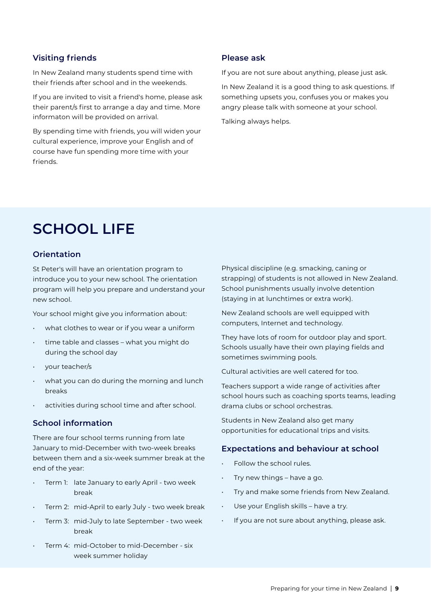#### <span id="page-8-0"></span>**Visiting friends**

In New Zealand many students spend time with their friends after school and in the weekends.

If you are invited to visit a friend's home, please ask their parent/s first to arrange a day and time. More informaton will be provided on arrival.

By spending time with friends, you will widen your cultural experience, improve your English and of course have fun spending more time with your friends.

#### **Please ask**

If you are not sure about anything, please just ask.

In New Zealand it is a good thing to ask questions. If something upsets you, confuses you or makes you angry please talk with someone at your school.

Talking always helps.

### **SCHOOL LIFE**

#### **Orientation**

St Peter's will have an orientation program to introduce you to your new school. The orientation program will help you prepare and understand your new school.

Your school might give you information about:

- what clothes to wear or if you wear a uniform
- time table and classes what you might do during the school day
- your teacher/s
- what you can do during the morning and lunch breaks
- activities during school time and after school.

#### **School information**

There are four school terms running from late January to mid-December with two-week breaks between them and a six-week summer break at the end of the year:

- Term 1: late January to early April two week break
- Term 2: mid-April to early July two week break
- Term 3: mid-July to late September two week break
- Term 4: mid-October to mid-December six week summer holiday

Physical discipline (e.g. smacking, caning or strapping) of students is not allowed in New Zealand. School punishments usually involve detention (staying in at lunchtimes or extra work).

New Zealand schools are well equipped with computers, Internet and technology.

They have lots of room for outdoor play and sport. Schools usually have their own playing fields and sometimes swimming pools.

Cultural activities are well catered for too.

Teachers support a wide range of activities after school hours such as coaching sports teams, leading drama clubs or school orchestras.

Students in New Zealand also get many opportunities for educational trips and visits.

#### **Expectations and behaviour at school**

- Follow the school rules.
- Try new things have a go.
- Try and make some friends from New Zealand.
- Use your English skills have a try.
- If you are not sure about anything, please ask.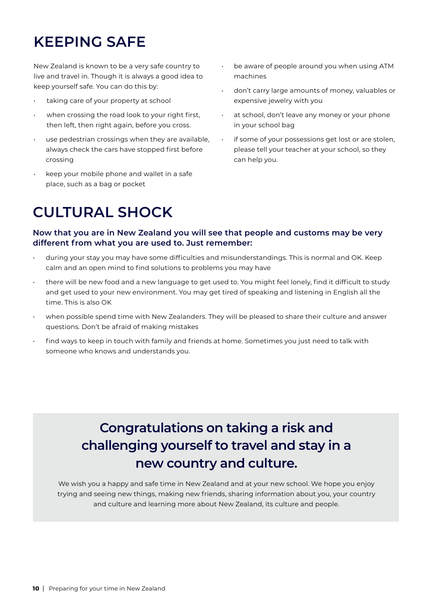## <span id="page-9-0"></span>**KEEPING SAFE**

New Zealand is known to be a very safe country to live and travel in. Though it is always a good idea to keep yourself safe. You can do this by:

- taking care of your property at school
- when crossing the road look to your right first, then left, then right again, before you cross.
- use pedestrian crossings when they are available, always check the cars have stopped first before crossing
- keep your mobile phone and wallet in a safe place, such as a bag or pocket
- be aware of people around you when using ATM machines
- don't carry large amounts of money, valuables or expensive jewelry with you
- at school, don't leave any money or your phone in your school bag
- if some of your possessions get lost or are stolen, please tell your teacher at your school, so they can help you.

### **CULTURAL SHOCK**

**Now that you are in New Zealand you will see that people and customs may be very different from what you are used to. Just remember:**

- during your stay you may have some difficulties and misunderstandings. This is normal and OK. Keep calm and an open mind to find solutions to problems you may have
- there will be new food and a new language to get used to. You might feel lonely, find it difficult to study and get used to your new environment. You may get tired of speaking and listening in English all the time. This is also OK
- when possible spend time with New Zealanders. They will be pleased to share their culture and answer questions. Don't be afraid of making mistakes
- find ways to keep in touch with family and friends at home. Sometimes you just need to talk with someone who knows and understands you.

### **Congratulations on taking a risk and challenging yourself to travel and stay in a new country and culture.**

We wish you a happy and safe time in New Zealand and at your new school. We hope you enjoy trying and seeing new things, making new friends, sharing information about you, your country and culture and learning more about New Zealand, its culture and people.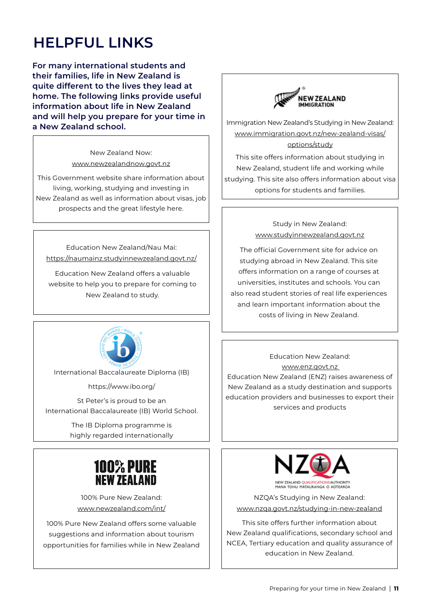### <span id="page-10-0"></span>**HELPFUL LINKS**

**For many international students and their families, life in New Zealand is quite different to the lives they lead at home. The following links provide useful information about life in New Zealand and will help you prepare for your time in a New Zealand school.**

> New Zealand Now: [www.newzealandnow.govt.nz](http://www.newzealandnow.govt.nz )

This Government website share information about living, working, studying and investing in New Zealand as well as information about visas, job prospects and the great lifestyle here.

Education New Zealand/Nau Mai: <https://naumainz.studyinnewzealand.govt.nz/>

Education New Zealand offers a valuable website to help you to prepare for coming to New Zealand to study.



International Baccalaureate Diploma (IB)

https://www.ibo.org/

St Peter's is proud to be an International Baccalaureate (IB) World School.

> The IB Diploma programme is highly regarded internationally



100% Pure New Zealand: [www.newzealand.com/int/](http://www.newzealand.com/int/) 

100% Pure New Zealand offers some valuable suggestions and information about tourism opportunities for families while in New Zealand



Immigration New Zealand's Studying in New Zealand: [www.immigration.govt.nz/new-zealand-visas/](http://www.immigration.govt.nz/new-zealand-visas/options/study ) [options/study](http://www.immigration.govt.nz/new-zealand-visas/options/study )

This site offers information about studying in New Zealand, student life and working while studying. This site also offers information about visa options for students and families.

> Study in New Zealand: [www.studyinnewzealand.govt.nz](http://www.studyinnewzealand.govt.nz)

The official Government site for advice on studying abroad in New Zealand. This site offers information on a range of courses at universities, institutes and schools. You can also read student stories of real life experiences and learn important information about the costs of living in New Zealand.

Education New Zealand: [www.enz.govt.nz](http://www.enz.govt.nz  )  Education New Zealand (ENZ) raises awareness of New Zealand as a study destination and supports education providers and businesses to export their services and products



NZQA's Studying in New Zealand: [www.nzqa.govt.nz/studying-in-new-zealand](http://www.nzqa.govt.nz/studying-in-new-zealand )

This site offers further information about New Zealand qualifications, secondary school and NCEA, Tertiary education and quality assurance of education in New Zealand.